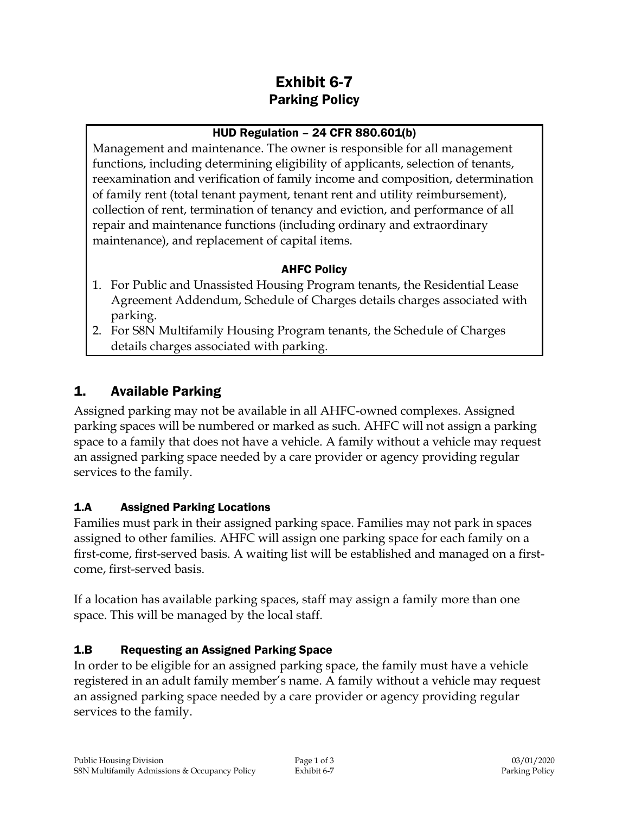# Exhibit 6-7 Parking Policy

#### HUD Regulation – 24 CFR 880.601(b)

Management and maintenance. The owner is responsible for all management functions, including determining eligibility of applicants, selection of tenants, reexamination and verification of family income and composition, determination of family rent (total tenant payment, tenant rent and utility reimbursement), collection of rent, termination of tenancy and eviction, and performance of all repair and maintenance functions (including ordinary and extraordinary maintenance), and replacement of capital items.

#### AHFC Policy

- 1. For Public and Unassisted Housing Program tenants, the Residential Lease Agreement Addendum, Schedule of Charges details charges associated with parking.
- 2. For S8N Multifamily Housing Program tenants, the Schedule of Charges details charges associated with parking.

### 1. Available Parking

Assigned parking may not be available in all AHFC-owned complexes. Assigned parking spaces will be numbered or marked as such. AHFC will not assign a parking space to a family that does not have a vehicle. A family without a vehicle may request an assigned parking space needed by a care provider or agency providing regular services to the family.

### 1.A Assigned Parking Locations

Families must park in their assigned parking space. Families may not park in spaces assigned to other families. AHFC will assign one parking space for each family on a first-come, first-served basis. A waiting list will be established and managed on a firstcome, first-served basis.

If a location has available parking spaces, staff may assign a family more than one space. This will be managed by the local staff.

### 1.B Requesting an Assigned Parking Space

In order to be eligible for an assigned parking space, the family must have a vehicle registered in an adult family member's name. A family without a vehicle may request an assigned parking space needed by a care provider or agency providing regular services to the family.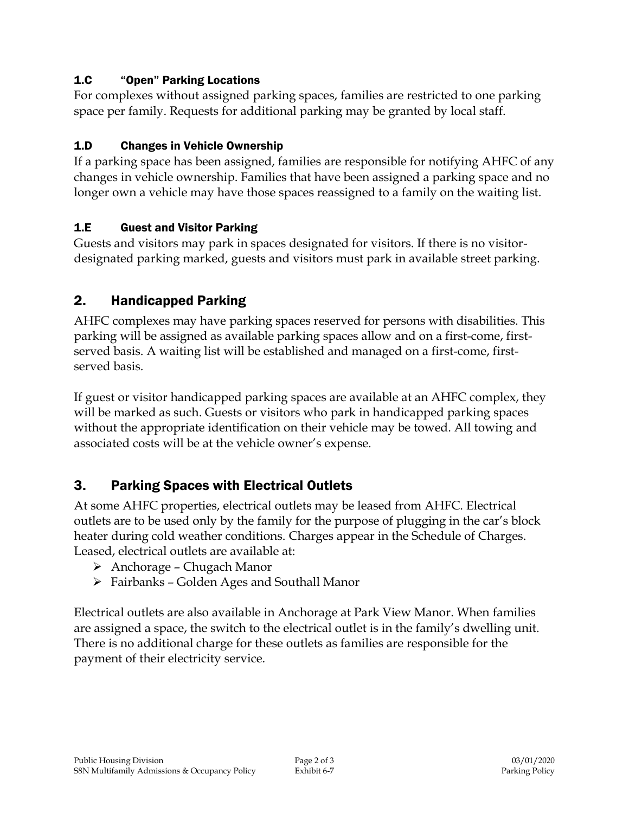#### 1.C "Open" Parking Locations

For complexes without assigned parking spaces, families are restricted to one parking space per family. Requests for additional parking may be granted by local staff.

#### 1.D Changes in Vehicle Ownership

If a parking space has been assigned, families are responsible for notifying AHFC of any changes in vehicle ownership. Families that have been assigned a parking space and no longer own a vehicle may have those spaces reassigned to a family on the waiting list.

### 1.E Guest and Visitor Parking

Guests and visitors may park in spaces designated for visitors. If there is no visitordesignated parking marked, guests and visitors must park in available street parking.

### 2. Handicapped Parking

AHFC complexes may have parking spaces reserved for persons with disabilities. This parking will be assigned as available parking spaces allow and on a first-come, firstserved basis. A waiting list will be established and managed on a first-come, firstserved basis.

If guest or visitor handicapped parking spaces are available at an AHFC complex, they will be marked as such. Guests or visitors who park in handicapped parking spaces without the appropriate identification on their vehicle may be towed. All towing and associated costs will be at the vehicle owner's expense.

## 3. Parking Spaces with Electrical Outlets

At some AHFC properties, electrical outlets may be leased from AHFC. Electrical outlets are to be used only by the family for the purpose of plugging in the car's block heater during cold weather conditions. Charges appear in the Schedule of Charges. Leased, electrical outlets are available at:

- Anchorage Chugach Manor
- Fairbanks Golden Ages and Southall Manor

Electrical outlets are also available in Anchorage at Park View Manor. When families are assigned a space, the switch to the electrical outlet is in the family's dwelling unit. There is no additional charge for these outlets as families are responsible for the payment of their electricity service.